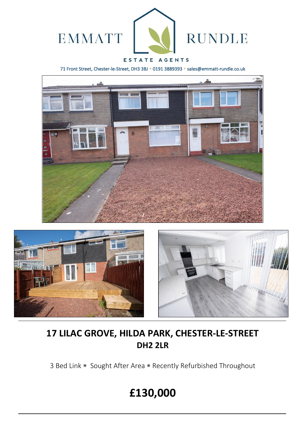

# ESTATE AGENTS

71 Front Street, Chester-le-Street, DH3 3BJ \* 0191 3889393 \* sales@emmatt-rundle.co.uk







# **17 LILAC GROVE, HILDA PARK, CHESTER-LE-STREET DH2 2LR**

3 Bed Link \* Sought After Area \* Recently Refurbished Throughout

# **£130,000**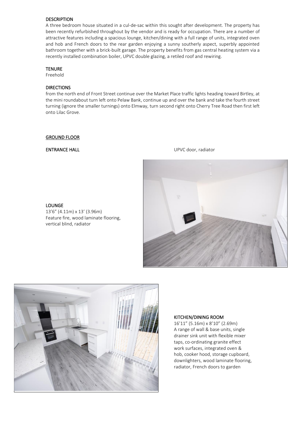### **DESCRIPTION**

A three bedroom house situated in a cul-de-sac within this sought after development. The property has been recently refurbished throughout by the vendor and is ready for occupation. There are a number of attractive features including a spacious lounge, kitchen/dining with a full range of units, integrated oven and hob and French doors to the rear garden enjoying a sunny southerly aspect, superbly appointed bathroom together with a brick-built garage. The property benefits from gas central heating system via a recently installed combination boiler, UPVC double glazing, a retiled roof and rewiring.

#### **TENURE**

Freehold

## **DIRECTIONS**

from the north end of Front Street continue over the Market Place traffic lights heading toward Birtley, at the mini roundabout turn left onto Pelaw Bank, continue up and over the bank and take the fourth street turning (ignore the smaller turnings) onto Elmway, turn second right onto Cherry Tree Road then first left onto Lilac Grove.

#### GROUND FLOOR

#### **ENTRANCE HALL ENTRANCE HALL ENTRANCE HALL**



#### LOUNGE 13'6" (4.11m) x 13' (3.96m) Feature fire, wood laminate flooring, vertical blind, radiator



#### KITCHEN/DINING ROOM

16'11" (5.16m) x 8'10" (2.69m) A range of wall & base units, single drainer sink unit with flexible mixer taps, co-ordinating granite effect work surfaces, integrated oven & hob, cooker hood, storage cupboard, downlighters, wood laminate flooring, radiator, French doors to garden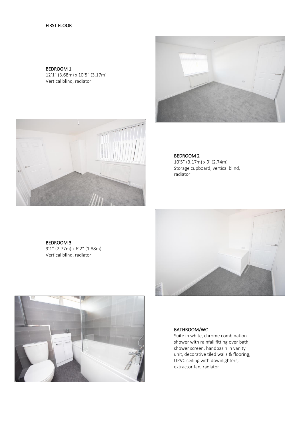# FIRST FLOOR

BEDROOM 1 12'1" (3.68m) x 10'5" (3.17m) Vertical blind, radiator





BEDROOM 2 10'5" (3.17m) x 9' (2.74m) Storage cupboard, vertical blind, radiator

BEDROOM 3 9'1" (2.77m) x 6'2" (1.88m) Vertical blind, radiator





#### BATHROOM/WC

Suite in white, chrome combination shower with rainfall fitting over bath, shower screen, handbasin in vanity unit, decorative tiled walls & flooring, UPVC ceiling with downlighters, extractor fan, radiator